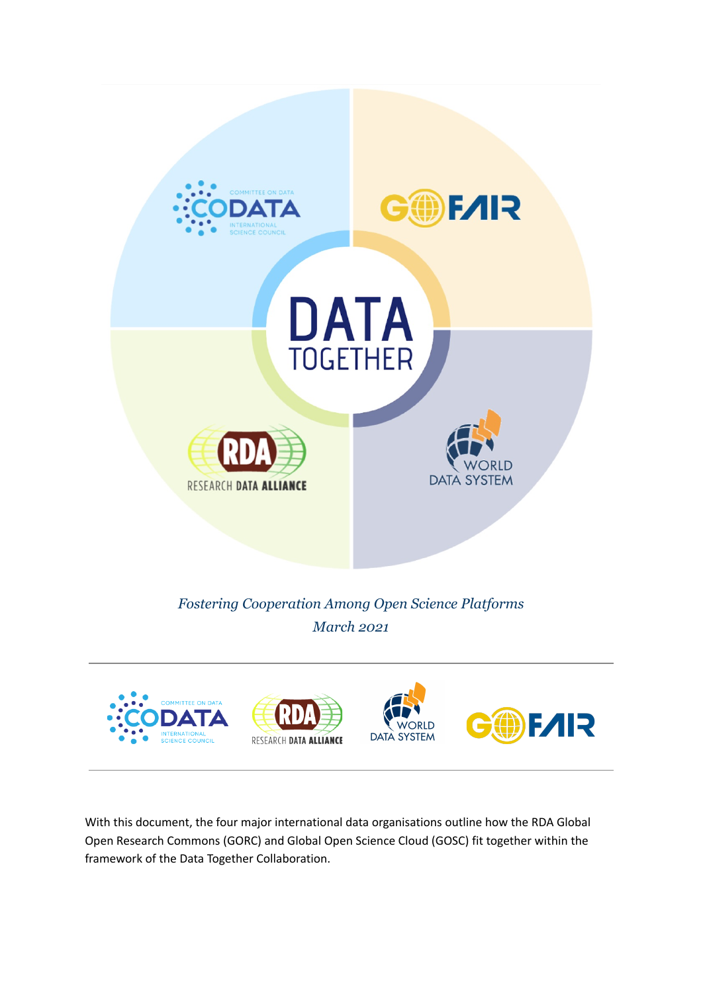

With this document, the four major international data organisations outline how the RDA Global Open Research Commons (GORC) and Global Open Science Cloud (GOSC) fit together within the framework of the Data Together Collaboration.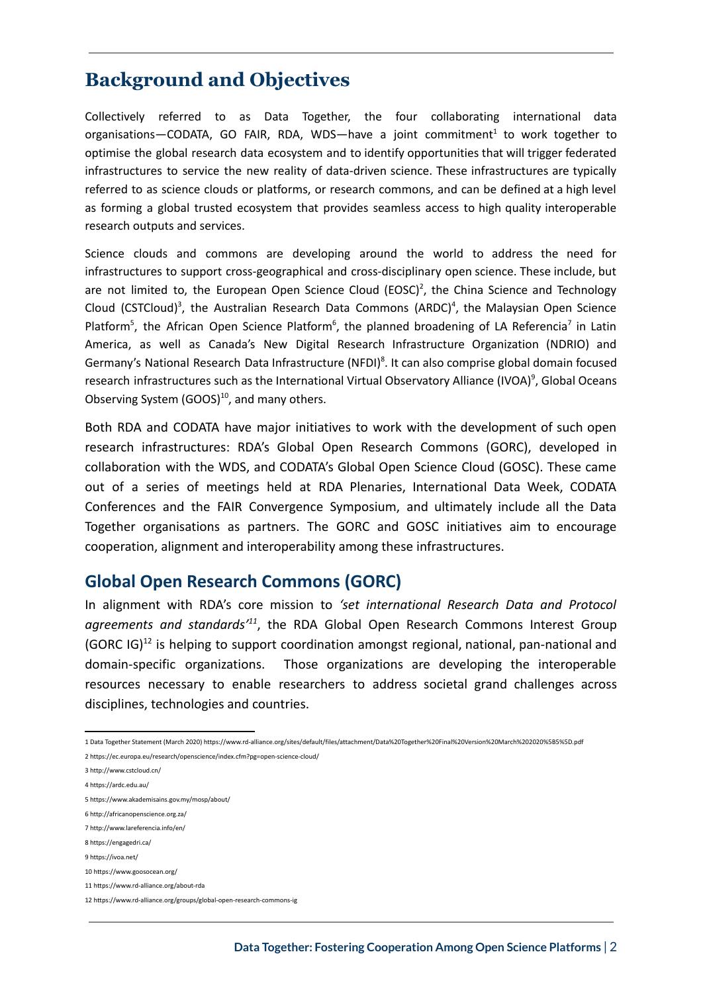# **Background and Objectives**

Collectively referred to as Data Together, the four collaborating international data organisations-CODATA, GO FAIR, RDA, WDS-have a joint commitment<sup>1</sup> to work together to optimise the global research data ecosystem and to identify opportunities that will trigger federated infrastructures to service the new reality of data-driven science. These infrastructures are typically referred to as science clouds or platforms, or research commons, and can be defined at a high level as forming a global trusted ecosystem that provides seamless access to high quality interoperable research outputs and services.

Science clouds and commons are developing around the world to address the need for infrastructures to support cross-geographical and cross-disciplinary open science. These include, but are not limited to, the European Open Science Cloud (EOSC)<sup>2</sup>, the China Science and Technology Cloud (CSTCloud)<sup>3</sup>, the Australian Research Data Commons (ARDC)<sup>4</sup>, the Malaysian Open Science Platform<sup>5</sup>, the African Open Science Platform<sup>6</sup>, the planned broadening of LA Referencia<sup>7</sup> in Latin America, as well as Canada's New Digital Research Infrastructure Organization (NDRIO) and Germany's National Research Data Infrastructure (NFDI)<sup>8</sup>. It can also comprise global domain focused research infrastructures such as the International Virtual Observatory Alliance (IVOA)<sup>9</sup>, Global Oceans Observing System (GOOS)<sup>10</sup>, and many others.

Both RDA and CODATA have major initiatives to work with the development of such open research infrastructures: RDA's Global Open Research Commons (GORC), developed in collaboration with the WDS, and CODATA's Global Open Science Cloud (GOSC). These came out of a series of meetings held at RDA Plenaries, International Data Week, CODATA Conferences and the FAIR Convergence Symposium, and ultimately include all the Data Together organisations as partners. The GORC and GOSC initiatives aim to encourage cooperation, alignment and interoperability among these infrastructures.

### **Global Open Research Commons (GORC)**

In alignment with RDA's core mission to *'set international Research Data and Protocol agreements and standards'<sup>11</sup>* , the RDA Global Open Research Commons Interest Group (GORC IG) $^{12}$  is helping to support coordination amongst regional, national, pan-national and domain-specific organizations. Those organizations are developing the interoperable resources necessary to enable researchers to address societal grand challenges across disciplines, technologies and countries.

<sup>1</sup> Data Together Statement (March 2020) https://www.rd-alliance.org/sites/default/files/attachment/Data%20Together%20Final%20Version%20March%202020%5B5%5D.pdf

<sup>2</sup> https://ec.europa.eu/research/openscience/index.cfm?pg=open-science-cloud/

<sup>3</sup> http://www.cstcloud.cn/

<sup>4</sup> https://ardc.edu.au/

<sup>5</sup> https://www.akademisains.gov.my/mosp/about/

<sup>6</sup> http://africanopenscience.org.za/

<sup>7</sup> http://www.lareferencia.info/en/

<sup>8</sup> https://engagedri.ca/

<sup>9</sup> https://ivoa.net/

<sup>10</sup> https://www.goosocean.org/

<sup>11</sup> https://www.rd-alliance.org/about-rda

<sup>12</sup> https://www.rd-alliance.org/groups/global-open-research-commons-ig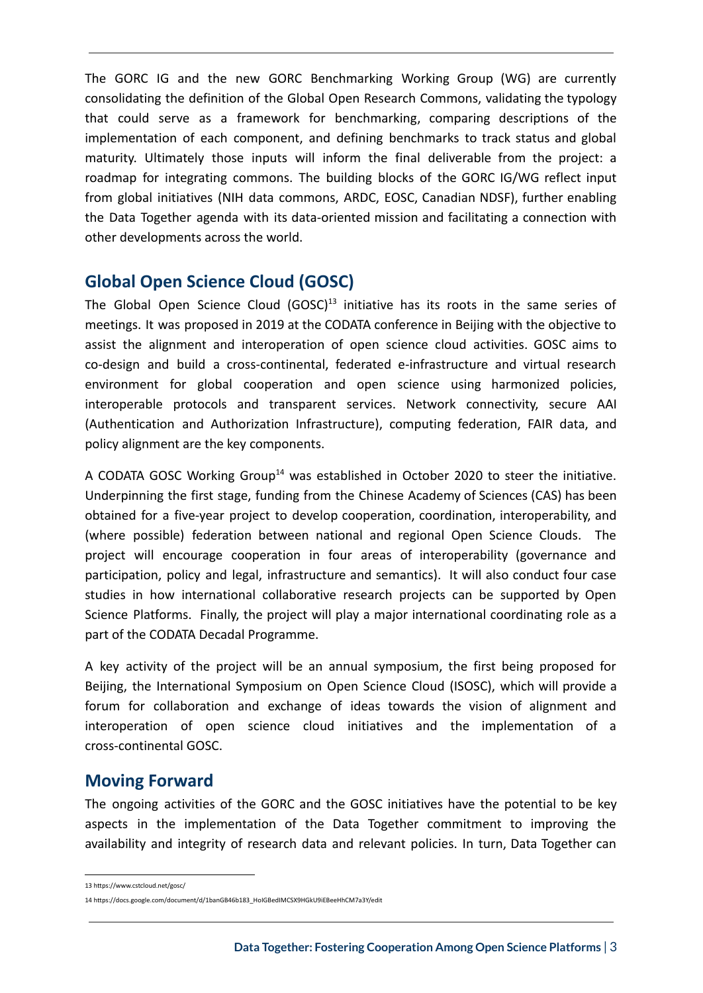The GORC IG and the new GORC Benchmarking Working Group (WG) are currently consolidating the definition of the Global Open Research Commons, validating the typology that could serve as a framework for benchmarking, comparing descriptions of the implementation of each component, and defining benchmarks to track status and global maturity. Ultimately those inputs will inform the final deliverable from the project: a roadmap for integrating commons. The building blocks of the GORC IG/WG reflect input from global initiatives (NIH data commons, ARDC, EOSC, Canadian NDSF), further enabling the Data Together agenda with its data-oriented mission and facilitating a connection with other developments across the world.

## **Global Open Science Cloud (GOSC)**

The Global Open Science Cloud (GOSC)<sup>13</sup> initiative has its roots in the same series of meetings. It was proposed in 2019 at the CODATA conference in Beijing with the objective to assist the alignment and interoperation of open science cloud activities. GOSC aims to co-design and build a cross-continental, federated e-infrastructure and virtual research environment for global cooperation and open science using harmonized policies, interoperable protocols and transparent services. Network connectivity, secure AAI (Authentication and Authorization Infrastructure), computing federation, FAIR data, and policy alignment are the key components.

A CODATA GOSC Working Group<sup>14</sup> was established in October 2020 to steer the initiative. Underpinning the first stage, funding from the Chinese Academy of Sciences (CAS) has been obtained for a five-year project to develop cooperation, coordination, interoperability, and (where possible) federation between national and regional Open Science Clouds. The project will encourage cooperation in four areas of interoperability (governance and participation, policy and legal, infrastructure and semantics). It will also conduct four case studies in how international collaborative research projects can be supported by Open Science Platforms. Finally, the project will play a major international coordinating role as a part of the CODATA Decadal Programme.

A key activity of the project will be an annual symposium, the first being proposed for Beijing, the International Symposium on Open Science Cloud (ISOSC), which will provide a forum for collaboration and exchange of ideas towards the vision of alignment and interoperation of open science cloud initiatives and the implementation of a cross-continental GOSC.

### **Moving Forward**

The ongoing activities of the GORC and the GOSC initiatives have the potential to be key aspects in the implementation of the Data Together commitment to improving the availability and integrity of research data and relevant policies. In turn, Data Together can

<sup>13</sup> https://www.cstcloud.net/gosc/

<sup>14</sup> [https://docs.google.com/document/d/1banGB46b183\\_HoIGBedIMCSX9HGkU9iEBeeHhCM7a3Y/edit](https://docs.google.com/document/d/1banGB46b183_HoIGBedIMCSX9HGkU9iEBeeHhCM7a3Y/edit)